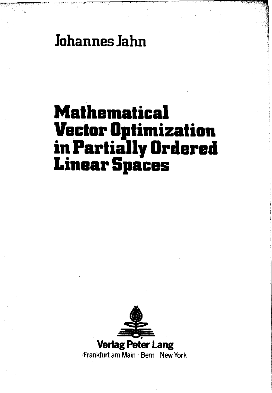**Johannes Jahn**

## **Mathematical Vector Optimization in Partially Ordered Linear Spaces**

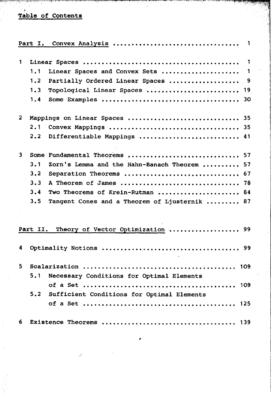## Table of Contents

|              |                               | Part I. Convex Analysis<br>-1                 |  |  |  |
|--------------|-------------------------------|-----------------------------------------------|--|--|--|
| $\mathbf{1}$ |                               | $\mathbf{1}$                                  |  |  |  |
|              | 1.1                           | Linear Spaces and Convex Sets<br>$\mathbf{1}$ |  |  |  |
|              | 1.2                           | Partially Ordered Linear Spaces  9            |  |  |  |
|              | 1.3                           | Topological Linear Spaces  19                 |  |  |  |
|              | 1.4                           | 30                                            |  |  |  |
| 2            | Mappings on Linear Spaces  35 |                                               |  |  |  |
|              | 2.1                           |                                               |  |  |  |
|              | 2.2                           | Differentiable Mappings<br>41                 |  |  |  |
| 3            |                               | Some Fundamental Theorems  57                 |  |  |  |
|              | 3.1                           | Zorn's Lemma and the Hahn-Banach Theorem  57  |  |  |  |
|              | 3.2                           | Separation Theorems  67                       |  |  |  |
|              | 3.3                           |                                               |  |  |  |
|              | 3.4                           | Two Theorems of Krein-Rutman  84              |  |  |  |
|              | 3.5                           | Tangent Cones and a Theorem of Ljusternik  87 |  |  |  |
|              |                               |                                               |  |  |  |
|              |                               | Part II. Theory of Vector Optimization  99    |  |  |  |
| 4            |                               |                                               |  |  |  |
| 5.           |                               |                                               |  |  |  |
|              | 5.1                           | Necessary Conditions for Optimal Elements     |  |  |  |
|              |                               | 109                                           |  |  |  |
|              | 5.2                           | Sufficient Conditions for Optimal Elements    |  |  |  |
|              |                               | 125                                           |  |  |  |
| 6.           |                               |                                               |  |  |  |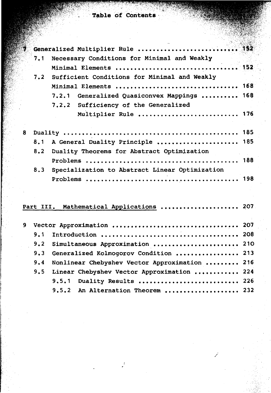## fable **of Contents**

| ۷ |     |                                                |  |
|---|-----|------------------------------------------------|--|
|   | 7.1 | Necessary Conditions for Minimal and Weakly    |  |
|   |     | Minimal Elements  152                          |  |
|   | 7.2 | Sufficient Conditions for Minimal and Weakly   |  |
|   |     | Minimal Elements  168                          |  |
|   |     | 7.2.1 Generalized Quasiconvex Mappings  168    |  |
|   |     | 7.2.2 Sufficiency of the Generalized           |  |
|   |     | Multiplier Rule  176                           |  |
|   |     |                                                |  |
| 8 |     |                                                |  |
|   | 8.1 | A General Duality Principle  185               |  |
|   | 8.2 | Duality Theorems for Abstract Optimization     |  |
|   |     |                                                |  |
|   | 8.3 | Specialization to Abstract Linear Optimization |  |
|   |     |                                                |  |
|   |     |                                                |  |
|   |     |                                                |  |
|   |     | Part III. Mathematical Applications  207       |  |
|   |     |                                                |  |
| 9 |     |                                                |  |
|   | 9.1 |                                                |  |
|   | 9.2 | Simultaneous Approximation  210                |  |
|   | 9.3 | Generalized Kolmogorov Condition  213          |  |
|   | 9.4 | Nonlinear Chebyshev Vector Approximation  216  |  |
|   | 9.5 | Linear Chebyshev Vector Approximation  224     |  |
|   |     | 9.5.1 Duality Results  226                     |  |

9.5.2 An Alternation Theorem .................... 232